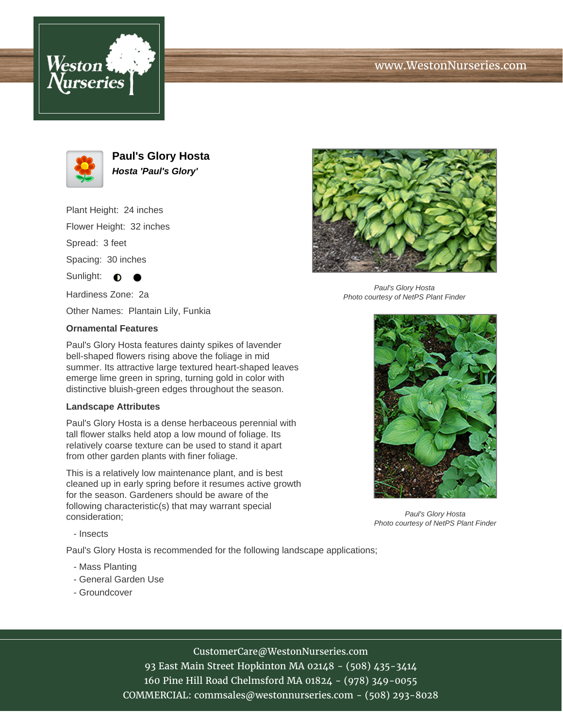



**Paul's Glory Hosta Hosta 'Paul's Glory'**

Plant Height: 24 inches Flower Height: 32 inches

Spread: 3 feet

Spacing: 30 inches

Sunlight:  $\bigcirc$ 

Hardiness Zone: 2a

Other Names: Plantain Lily, Funkia

### **Ornamental Features**

Paul's Glory Hosta features dainty spikes of lavender bell-shaped flowers rising above the foliage in mid summer. Its attractive large textured heart-shaped leaves emerge lime green in spring, turning gold in color with distinctive bluish-green edges throughout the season.

#### **Landscape Attributes**

Paul's Glory Hosta is a dense herbaceous perennial with tall flower stalks held atop a low mound of foliage. Its relatively coarse texture can be used to stand it apart from other garden plants with finer foliage.

This is a relatively low maintenance plant, and is best cleaned up in early spring before it resumes active growth for the season. Gardeners should be aware of the following characteristic(s) that may warrant special consideration;



Paul's Glory Hosta Photo courtesy of NetPS Plant Finder



Paul's Glory Hosta Photo courtesy of NetPS Plant Finder

- Insects

Paul's Glory Hosta is recommended for the following landscape applications;

- Mass Planting
- General Garden Use
- Groundcover

# CustomerCare@WestonNurseries.com

93 East Main Street Hopkinton MA 02148 - (508) 435-3414 160 Pine Hill Road Chelmsford MA 01824 - (978) 349-0055 COMMERCIAL: commsales@westonnurseries.com - (508) 293-8028